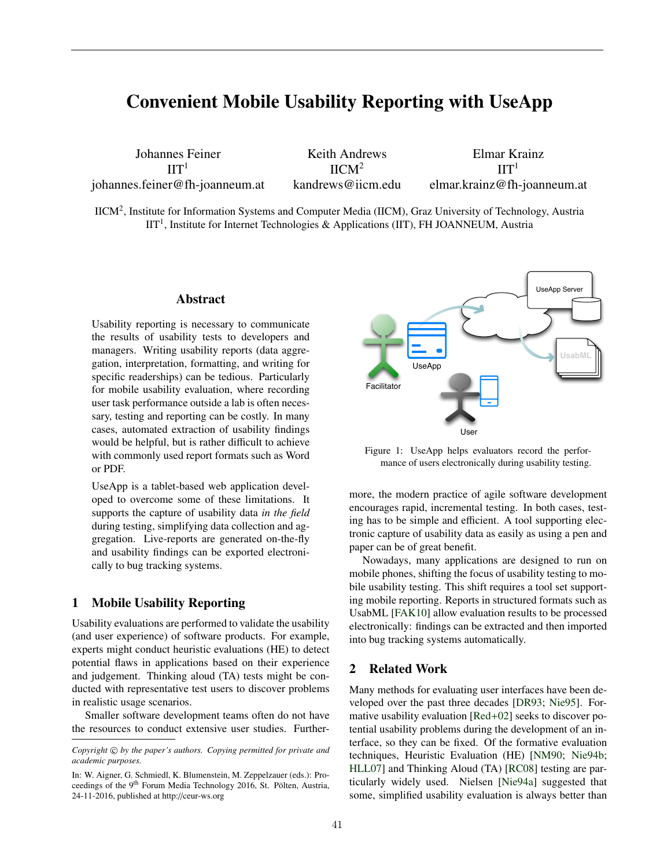# Convenient Mobile Usability Reporting with UseApp

Johannes Feiner  $\Pi$ <sup>1</sup> johannes.feiner@fh-joanneum.at

Keith Andrews  $IICM<sup>2</sup>$ kandrews@iicm.edu

Elmar Krainz  $\Pi$ elmar.krainz@fh-joanneum.at

IICM2, Institute for Information Systems and Computer Media (IICM), Graz University of Technology, Austria  $IIT<sup>1</sup>$ , Institute for Internet Technologies & Applications (IIT), FH JOANNEUM, Austria

#### Abstract

Usability reporting is necessary to communicate the results of usability tests to developers and managers. Writing usability reports (data aggregation, interpretation, formatting, and writing for specific readerships) can be tedious. Particularly for mobile usability evaluation, where recording user task performance outside a lab is often necessary, testing and reporting can be costly. In many cases, automated extraction of usability findings would be helpful, but is rather difficult to achieve with commonly used report formats such as Word or PDF.

UseApp is a tablet-based web application developed to overcome some of these limitations. It supports the capture of usability data *in the field* during testing, simplifying data collection and aggregation. Live-reports are generated on-the-fly and usability findings can be exported electronically to bug tracking systems.

### 1 Mobile Usability Reporting

Usability evaluations are performed to validate the usability (and user experience) of software products. For example, experts might conduct heuristic evaluations (HE) to detect potential flaws in applications based on their experience and judgement. Thinking aloud (TA) tests might be conducted with representative test users to discover problems in realistic usage scenarios.

Smaller software development teams often do not have the resources to conduct extensive user studies. Further-



Figure 1: UseApp helps evaluators record the performance of users electronically during usability testing.

more, the modern practice of agile software development encourages rapid, incremental testing. In both cases, testing has to be simple and efficient. A tool supporting electronic capture of usability data as easily as using a pen and paper can be of great benefit.

Nowadays, many applications are designed to run on mobile phones, shifting the focus of usability testing to mobile usability testing. This shift requires a tool set supporting mobile reporting. Reports in structured formats such as UsabML [FAK10] allow evaluation results to be processed electronically: findings can be extracted and then imported into bug tracking systems automatically.

## 2 Related Work

Many methods for evaluating user interfaces have been developed over the past three decades [DR93; Nie95]. Formative usability evaluation [Red+02] seeks to discover potential usability problems during the development of an interface, so they can be fixed. Of the formative evaluation techniques, Heuristic Evaluation (HE) [NM90; Nie94b; HLL07] and Thinking Aloud (TA) [RC08] testing are particularly widely used. Nielsen [Nie94a] suggested that some, simplified usability evaluation is always better than

*Copyright*  $\odot$  *by the paper's authors. Copying permitted for private and academic purposes.*

In: W. Aigner, G. Schmiedl, K. Blumenstein, M. Zeppelzauer (eds.): Proceedings of the 9<sup>th</sup> Forum Media Technology 2016, St. Pölten, Austria, 24-11-2016, published at http://ceur-ws.org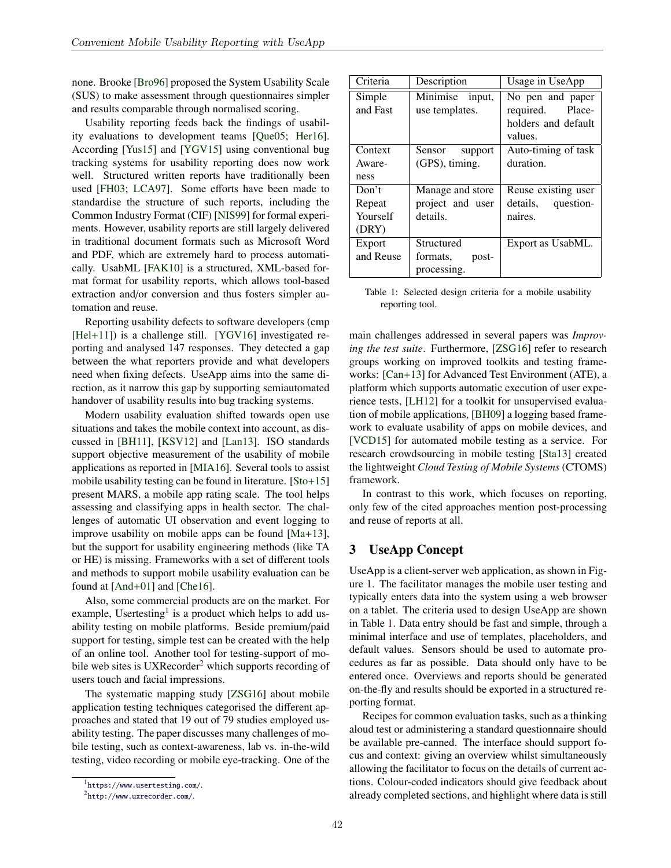none. Brooke [Bro96] proposed the System Usability Scale (SUS) to make assessment through questionnaires simpler and results comparable through normalised scoring.

Usability reporting feeds back the findings of usability evaluations to development teams [Que05; Her16]. According [Yus15] and [YGV15] using conventional bug tracking systems for usability reporting does now work well. Structured written reports have traditionally been used [FH03; LCA97]. Some efforts have been made to standardise the structure of such reports, including the Common Industry Format (CIF) [NIS99] for formal experiments. However, usability reports are still largely delivered in traditional document formats such as Microsoft Word and PDF, which are extremely hard to process automatically. UsabML [FAK10] is a structured, XML-based format format for usability reports, which allows tool-based extraction and/or conversion and thus fosters simpler automation and reuse.

Reporting usability defects to software developers (cmp [Hel+11]) is a challenge still. [YGV16] investigated reporting and analysed 147 responses. They detected a gap between the what reporters provide and what developers need when fixing defects. UseApp aims into the same direction, as it narrow this gap by supporting semiautomated handover of usability results into bug tracking systems.

Modern usability evaluation shifted towards open use situations and takes the mobile context into account, as discussed in [BH11], [KSV12] and [Lan13]. ISO standards support objective measurement of the usability of mobile applications as reported in [MIA16]. Several tools to assist mobile usability testing can be found in literature. [Sto+15] present MARS, a mobile app rating scale. The tool helps assessing and classifying apps in health sector. The challenges of automatic UI observation and event logging to improve usability on mobile apps can be found [Ma+13], but the support for usability engineering methods (like TA or HE) is missing. Frameworks with a set of different tools and methods to support mobile usability evaluation can be found at [And+01] and [Che16].

Also, some commercial products are on the market. For example, Usertesting<sup>1</sup> is a product which helps to add usability testing on mobile platforms. Beside premium/paid support for testing, simple test can be created with the help of an online tool. Another tool for testing-support of mobile web sites is UXRecorder<sup>2</sup> which supports recording of users touch and facial impressions.

The systematic mapping study [ZSG16] about mobile application testing techniques categorised the different approaches and stated that 19 out of 79 studies employed usability testing. The paper discusses many challenges of mobile testing, such as context-awareness, lab vs. in-the-wild testing, video recording or mobile eye-tracking. One of the

| Criteria  | Description       | Usage in UseApp       |  |  |  |
|-----------|-------------------|-----------------------|--|--|--|
| Simple    | Minimise input,   | No pen and paper      |  |  |  |
| and Fast  | use templates.    | required.<br>Place-   |  |  |  |
|           |                   | holders and default   |  |  |  |
|           |                   | values.               |  |  |  |
| Context   | Sensor<br>support | Auto-timing of task   |  |  |  |
| Aware-    | $(GPS)$ , timing. | duration.             |  |  |  |
| ness      |                   |                       |  |  |  |
| Don't     | Manage and store  | Reuse existing user   |  |  |  |
| Repeat    | project and user  | details,<br>question- |  |  |  |
| Yourself  | details.          | naires.               |  |  |  |
| (DRY)     |                   |                       |  |  |  |
| Export    | Structured        | Export as UsabML.     |  |  |  |
| and Reuse | formats,<br>post- |                       |  |  |  |
|           | processing.       |                       |  |  |  |

Table 1: Selected design criteria for a mobile usability reporting tool.

main challenges addressed in several papers was *Improving the test suite*. Furthermore, [ZSG16] refer to research groups working on improved toolkits and testing frameworks: [Can+13] for Advanced Test Environment (ATE), a platform which supports automatic execution of user experience tests, [LH12] for a toolkit for unsupervised evaluation of mobile applications, [BH09] a logging based framework to evaluate usability of apps on mobile devices, and [VCD15] for automated mobile testing as a service. For research crowdsourcing in mobile testing [Sta13] created the lightweight *Cloud Testing of Mobile Systems* (CTOMS) framework.

In contrast to this work, which focuses on reporting, only few of the cited approaches mention post-processing and reuse of reports at all.

### 3 UseApp Concept

UseApp is a client-server web application, as shown in Figure 1. The facilitator manages the mobile user testing and typically enters data into the system using a web browser on a tablet. The criteria used to design UseApp are shown in Table 1. Data entry should be fast and simple, through a minimal interface and use of templates, placeholders, and default values. Sensors should be used to automate procedures as far as possible. Data should only have to be entered once. Overviews and reports should be generated on-the-fly and results should be exported in a structured reporting format.

Recipes for common evaluation tasks, such as a thinking aloud test or administering a standard questionnaire should be available pre-canned. The interface should support focus and context: giving an overview whilst simultaneously allowing the facilitator to focus on the details of current actions. Colour-coded indicators should give feedback about already completed sections, and highlight where data is still

<sup>1</sup>https://www.usertesting.com/.

<sup>2</sup>http://www.uxrecorder.com/.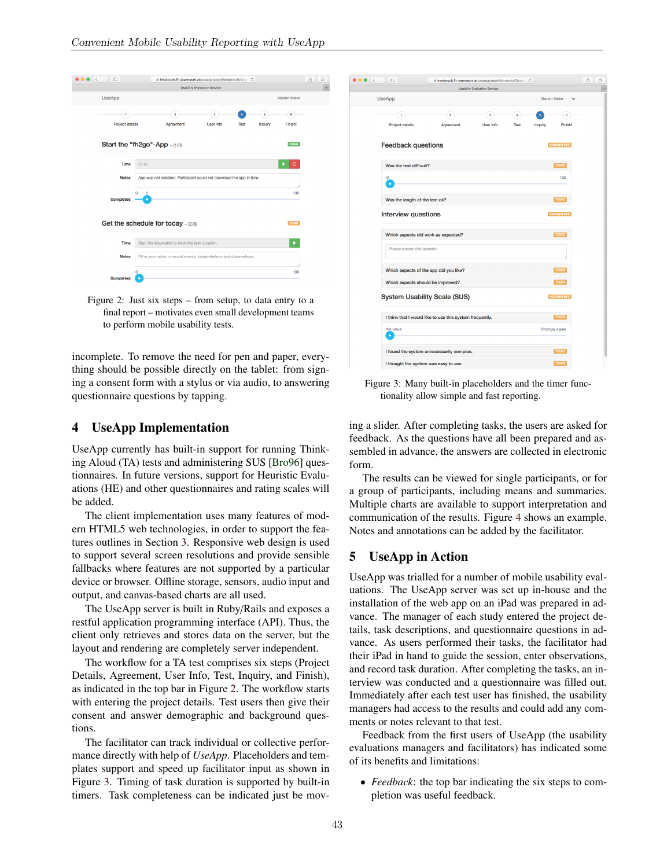

Figure 2: Just six steps – from setup, to data entry to a final report – motivates even small development teams to perform mobile usability tests.

incomplete. To remove the need for pen and paper, everything should be possible directly on the tablet: from signing a consent form with a stylus or via audio, to answering questionnaire questions by tapping.

### 4 UseApp Implementation

UseApp currently has built-in support for running Thinking Aloud (TA) tests and administering SUS [Bro96] questionnaires. In future versions, support for Heuristic Evaluations (HE) and other questionnaires and rating scales will be added.

The client implementation uses many features of modern HTML5 web technologies, in order to support the features outlines in Section 3. Responsive web design is used to support several screen resolutions and provide sensible fallbacks where features are not supported by a particular device or browser. Offline storage, sensors, audio input and output, and canvas-based charts are all used.

The UseApp server is built in Ruby/Rails and exposes a restful application programming interface (API). Thus, the client only retrieves and stores data on the server, but the layout and rendering are completely server independent.

The workflow for a TA test comprises six steps (Project Details, Agreement, User Info, Test, Inquiry, and Finish), as indicated in the top bar in Figure 2. The workflow starts with entering the project details. Test users then give their consent and answer demographic and background questions.

The facilitator can track individual or collective performance directly with help of *UseApp*. Placeholders and templates support and speed up facilitator input as shown in Figure 3. Timing of task duration is supported by built-in timers. Task completeness can be indicated just be mov-

| $\bullet$ $\left\{ \cdot \right\}$ $\Box$ | iii innsbruck.fh-joanneum.at/useapp/app/#/projects/1/step Ĉ |                                     |                |                         |                   |  |
|-------------------------------------------|-------------------------------------------------------------|-------------------------------------|----------------|-------------------------|-------------------|--|
|                                           |                                                             | <b>Usability Evaluation Service</b> |                |                         |                   |  |
| <b>UseApp</b>                             | <b>Marion Meier</b><br>$\overline{\phantom{a}}$             |                                     |                |                         |                   |  |
| 1                                         | $\overline{\mathbf{2}}$                                     | 3                                   | 4              | $\overline{\mathbf{5}}$ | 6                 |  |
| Project details                           | Agreement                                                   | User info                           | <b>Test</b>    | Inquiry                 | <b>Finish!</b>    |  |
|                                           |                                                             |                                     |                |                         |                   |  |
| <b>Feedback questions</b>                 |                                                             |                                     |                |                         | <b>INCOMPLETE</b> |  |
|                                           |                                                             |                                     |                |                         |                   |  |
| Was the test difficult?                   |                                                             |                                     |                |                         | <b>TODO</b>       |  |
| $\mathbf 0$                               |                                                             |                                     |                |                         | 100               |  |
| ٠                                         |                                                             |                                     |                |                         |                   |  |
| Was the length of the test ok?            |                                                             |                                     |                |                         | <b>TODO</b>       |  |
| <b>Interview questions</b>                |                                                             |                                     |                |                         | <b>INCOMPLETE</b> |  |
|                                           |                                                             |                                     |                |                         |                   |  |
| Which aspects did work as expected?       |                                                             |                                     |                |                         | <b>TODO</b>       |  |
| Please answer this question.              |                                                             |                                     |                |                         |                   |  |
|                                           |                                                             |                                     |                |                         |                   |  |
| Which aspects of the app did you like?    |                                                             |                                     |                |                         | <b>TODO</b>       |  |
| Which aspects should be improved?         |                                                             |                                     |                |                         | <b>TODO</b>       |  |
|                                           |                                                             |                                     |                |                         |                   |  |
|                                           | <b>System Usability Scale (SUS)</b>                         |                                     |                |                         | <b>INCOMPLETE</b> |  |
|                                           | I think that I would like to use this system frequently.    |                                     |                |                         | <b>TODO</b>       |  |
| No value                                  |                                                             |                                     | Strongly agree |                         |                   |  |
| ٠                                         |                                                             |                                     |                |                         |                   |  |
|                                           | I found the system unnecessarily complex.                   |                                     |                |                         | <b>TODO</b>       |  |
|                                           |                                                             |                                     |                |                         |                   |  |
| I thought the system was easy to use.     |                                                             |                                     |                |                         | <b>TODO</b>       |  |

Figure 3: Many built-in placeholders and the timer functionality allow simple and fast reporting.

ing a slider. After completing tasks, the users are asked for feedback. As the questions have all been prepared and assembled in advance, the answers are collected in electronic form.

The results can be viewed for single participants, or for a group of participants, including means and summaries. Multiple charts are available to support interpretation and communication of the results. Figure 4 shows an example. Notes and annotations can be added by the facilitator.

### 5 UseApp in Action

 $\bullet$ 

UseApp was trialled for a number of mobile usability evaluations. The UseApp server was set up in-house and the installation of the web app on an iPad was prepared in advance. The manager of each study entered the project details, task descriptions, and questionnaire questions in advance. As users performed their tasks, the facilitator had their iPad in hand to guide the session, enter observations, and record task duration. After completing the tasks, an interview was conducted and a questionnaire was filled out. Immediately after each test user has finished, the usability managers had access to the results and could add any comments or notes relevant to that test.

Feedback from the first users of UseApp (the usability evaluations managers and facilitators) has indicated some of its benefits and limitations:

• *Feedback*: the top bar indicating the six steps to completion was useful feedback.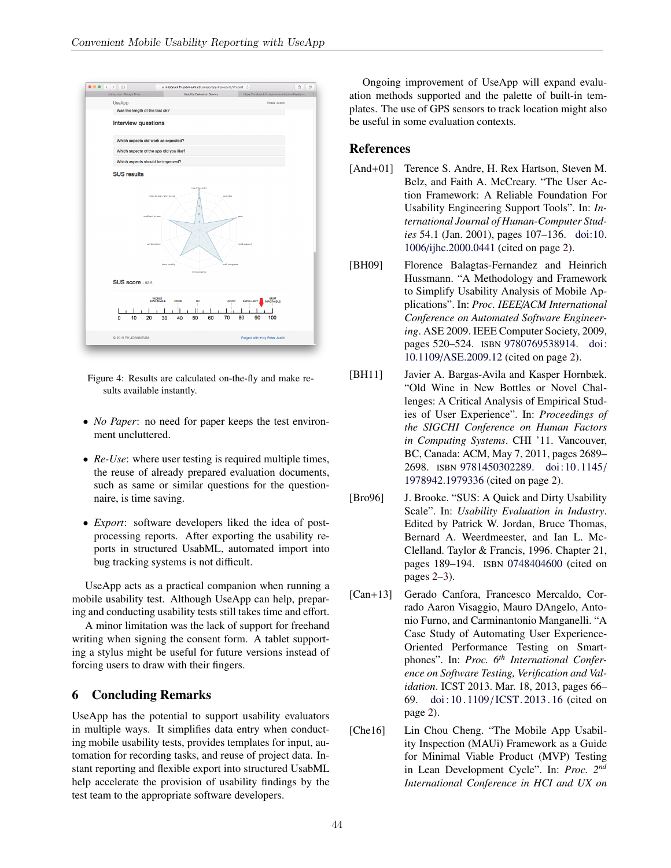

Figure 4: Results are calculated on-the-fly and make results available instantly.

- *No Paper*: no need for paper keeps the test environment uncluttered.
- *Re-Use*: where user testing is required multiple times, the reuse of already prepared evaluation documents, such as same or similar questions for the questionnaire, is time saving.
- *Export*: software developers liked the idea of postprocessing reports. After exporting the usability reports in structured UsabML, automated import into bug tracking systems is not difficult.

UseApp acts as a practical companion when running a mobile usability test. Although UseApp can help, preparing and conducting usability tests still takes time and effort.

A minor limitation was the lack of support for freehand writing when signing the consent form. A tablet supporting a stylus might be useful for future versions instead of forcing users to draw with their fingers.

## 6 Concluding Remarks

UseApp has the potential to support usability evaluators in multiple ways. It simplifies data entry when conducting mobile usability tests, provides templates for input, automation for recording tasks, and reuse of project data. Instant reporting and flexible export into structured UsabML help accelerate the provision of usability findings by the test team to the appropriate software developers.

Ongoing improvement of UseApp will expand evaluation methods supported and the palette of built-in templates. The use of GPS sensors to track location might also be useful in some evaluation contexts.

### References

- [And+01] Terence S. Andre, H. Rex Hartson, Steven M. Belz, and Faith A. McCreary. "The User Action Framework: A Reliable Foundation For Usability Engineering Support Tools". In: *International Journal of Human-Computer Studies* 54.1 (Jan. 2001), pages 107–136. doi:10. 1006/ijhc.2000.0441 (cited on page 2).
- [BH09] Florence Balagtas-Fernandez and Heinrich Hussmann. "A Methodology and Framework to Simplify Usability Analysis of Mobile Applications". In: *Proc. IEEE*/*ACM International Conference on Automated Software Engineering*. ASE 2009. IEEE Computer Society, 2009, pages 520–524. ISBN 9780769538914. doi: 10.1109/ASE.2009.12 (cited on page 2).
- [BH11] Javier A. Bargas-Avila and Kasper Hornbæk. "Old Wine in New Bottles or Novel Challenges: A Critical Analysis of Empirical Studies of User Experience". In: *Proceedings of the SIGCHI Conference on Human Factors in Computing Systems*. CHI '11. Vancouver, BC, Canada: ACM, May 7, 2011, pages 2689– 2698. ISBN 9781450302289. doi: 10. 1145/ 1978942.1979336 (cited on page 2).
- [Bro96] J. Brooke. "SUS: A Quick and Dirty Usability Scale". In: *Usability Evaluation in Industry*. Edited by Patrick W. Jordan, Bruce Thomas, Bernard A. Weerdmeester, and Ian L. Mc-Clelland. Taylor & Francis, 1996. Chapter 21, pages 189–194. ISBN 0748404600 (cited on pages 2–3).
- [Can+13] Gerado Canfora, Francesco Mercaldo, Corrado Aaron Visaggio, Mauro DAngelo, Antonio Furno, and Carminantonio Manganelli. "A Case Study of Automating User Experience-Oriented Performance Testing on Smartphones". In: *Proc. 6th International Conference on Software Testing, Verification and Validation*. ICST 2013. Mar. 18, 2013, pages 66– 69. doi: 10 . 1109 /ICST. 2013 . 16 (cited on page 2).
- [Che16] Lin Chou Cheng. "The Mobile App Usability Inspection (MAUi) Framework as a Guide for Minimal Viable Product (MVP) Testing in Lean Development Cycle". In: *Proc. 2nd International Conference in HCI and UX on*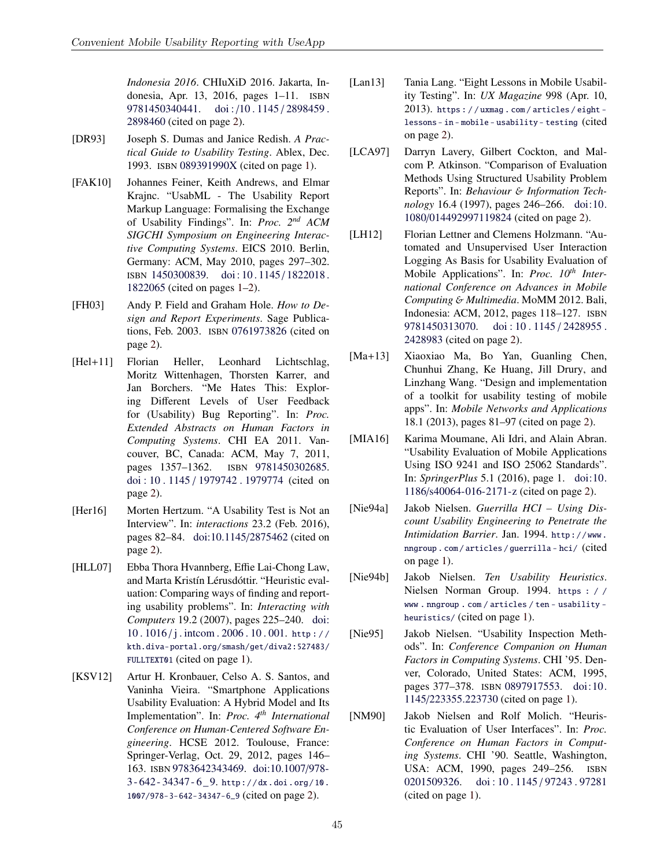*Indonesia 2016*. CHIuXiD 2016. Jakarta, Indonesia, Apr. 13, 2016, pages 1–11. ISBN 9781450340441. doi:/10.1145/2898459. 2898460 (cited on page 2).

- [DR93] Joseph S. Dumas and Janice Redish. *A Practical Guide to Usability Testing*. Ablex, Dec. 1993. ISBN 089391990X (cited on page 1).
- [FAK10] Johannes Feiner, Keith Andrews, and Elmar Krajnc. "UsabML - The Usability Report Markup Language: Formalising the Exchange of Usability Findings". In: *Proc. 2nd ACM SIGCHI Symposium on Engineering Interactive Computing Systems*. EICS 2010. Berlin, Germany: ACM, May 2010, pages 297–302. ISBN 1450300839. doi : 10 . 1145 / 1822018 . 1822065 (cited on pages 1–2).
- [FH03] Andy P. Field and Graham Hole. *How to Design and Report Experiments*. Sage Publications, Feb. 2003. ISBN 0761973826 (cited on page 2).
- [Hel+11] Florian Heller, Leonhard Lichtschlag, Moritz Wittenhagen, Thorsten Karrer, and Jan Borchers. "Me Hates This: Exploring Different Levels of User Feedback for (Usability) Bug Reporting". In: *Proc. Extended Abstracts on Human Factors in Computing Systems*. CHI EA 2011. Vancouver, BC, Canada: ACM, May 7, 2011, pages 1357–1362. ISBN 9781450302685. doi : 10 . 1145 / 1979742 . 1979774 (cited on page 2).
- [Her16] Morten Hertzum. "A Usability Test is Not an Interview". In: *interactions* 23.2 (Feb. 2016), pages 82–84. doi:10.1145/2875462 (cited on page 2).
- [HLL07] Ebba Thora Hvannberg, Effie Lai-Chong Law, and Marta Kristín Lérusdóttir. "Heuristic evaluation: Comparing ways of finding and reporting usability problems". In: *Interacting with Computers* 19.2 (2007), pages 225–240. doi: 10 . 1016 / j . intcom . 2006 . 10 . 001. http : / / kth.diva-portal.org/smash/get/diva2:527483/ FULLTEXT01 (cited on page 1).
- [KSV12] Artur H. Kronbauer, Celso A. S. Santos, and Vaninha Vieira. "Smartphone Applications Usability Evaluation: A Hybrid Model and Its Implementation". In: *Proc. 4th International Conference on Human-Centered Software Engineering*. HCSE 2012. Toulouse, France: Springer-Verlag, Oct. 29, 2012, pages 146– 163. ISBN 9783642343469. doi:10.1007/978-  $3 - 642 - 34347 - 6 - 9$ . http://dx.doi.org/10. 1007/978-3-642-34347-6\_9 (cited on page 2).
- [Lan13] Tania Lang. "Eight Lessons in Mobile Usability Testing". In: *UX Magazine* 998 (Apr. 10, 2013). https : / / uxmag . com / articles / eight lessons - in - mobile - usability - testing (cited on page 2).
- [LCA97] Darryn Lavery, Gilbert Cockton, and Malcom P. Atkinson. "Comparison of Evaluation Methods Using Structured Usability Problem Reports". In: *Behaviour* & *Information Technology* 16.4 (1997), pages 246–266. doi:10. 1080/014492997119824 (cited on page 2).
- [LH12] Florian Lettner and Clemens Holzmann. "Automated and Unsupervised User Interaction Logging As Basis for Usability Evaluation of Mobile Applications". In: *Proc. 10th International Conference on Advances in Mobile Computing* & *Multimedia*. MoMM 2012. Bali, Indonesia: ACM, 2012, pages 118–127. ISBN 9781450313070. doi: 10.1145/2428955. 2428983 (cited on page 2).
- [Ma+13] Xiaoxiao Ma, Bo Yan, Guanling Chen, Chunhui Zhang, Ke Huang, Jill Drury, and Linzhang Wang. "Design and implementation of a toolkit for usability testing of mobile apps". In: *Mobile Networks and Applications* 18.1 (2013), pages 81–97 (cited on page 2).
- [MIA16] Karima Moumane, Ali Idri, and Alain Abran. "Usability Evaluation of Mobile Applications Using ISO 9241 and ISO 25062 Standards". In: *SpringerPlus* 5.1 (2016), page 1. doi:10. 1186/s40064-016-2171-z (cited on page 2).
- [Nie94a] Jakob Nielsen. *Guerrilla HCI Using Discount Usability Engineering to Penetrate the Intimidation Barrier*. Jan. 1994. http : / / www . nngroup . com / articles / guerrilla - hci/ (cited on page 1).
- [Nie94b] Jakob Nielsen. *Ten Usability Heuristics*. Nielsen Norman Group. 1994. https : / / www . nngroup . com / articles / ten - usability heuristics/ (cited on page 1).
- [Nie95] Jakob Nielsen. "Usability Inspection Methods". In: *Conference Companion on Human Factors in Computing Systems*. CHI '95. Denver, Colorado, United States: ACM, 1995, pages 377–378. ISBN 0897917553. doi:10. 1145/223355.223730 (cited on page 1).
- [NM90] Jakob Nielsen and Rolf Molich. "Heuristic Evaluation of User Interfaces". In: *Proc. Conference on Human Factors in Computing Systems*. CHI '90. Seattle, Washington, USA: ACM, 1990, pages 249–256. ISBN 0201509326. doi: 10.1145/97243.97281 (cited on page 1).